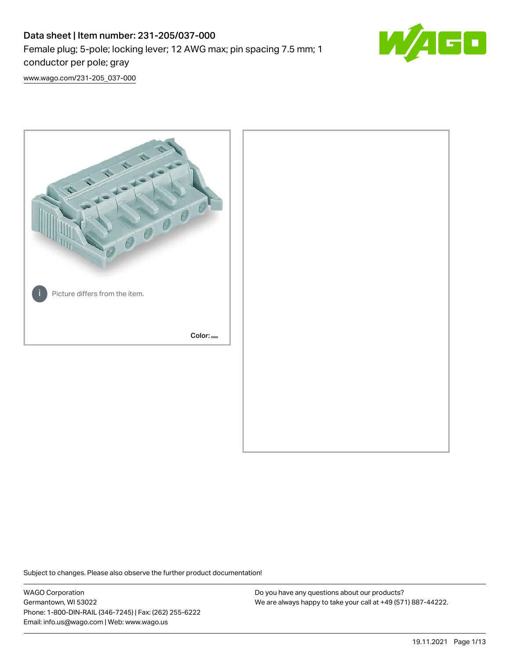# Data sheet | Item number: 231-205/037-000 Female plug; 5-pole; locking lever; 12 AWG max; pin spacing 7.5 mm; 1 conductor per pole; gray



[www.wago.com/231-205\\_037-000](http://www.wago.com/231-205_037-000)



Subject to changes. Please also observe the further product documentation!

WAGO Corporation Germantown, WI 53022 Phone: 1-800-DIN-RAIL (346-7245) | Fax: (262) 255-6222 Email: info.us@wago.com | Web: www.wago.us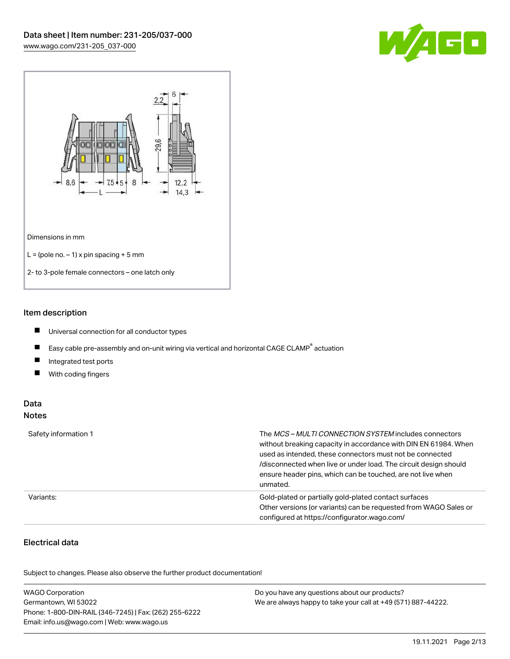



#### Item description

- $\blacksquare$ Universal connection for all conductor types
- $\blacksquare$ Easy cable pre-assembly and on-unit wiring via vertical and horizontal CAGE CLAMP<sup>®</sup> actuation
- $\blacksquare$ Integrated test ports
- $\blacksquare$ With coding fingers

#### Data Notes

| Safety information 1 | The <i>MCS – MULTI CONNECTION SYSTEM</i> includes connectors<br>without breaking capacity in accordance with DIN EN 61984. When<br>used as intended, these connectors must not be connected<br>/disconnected when live or under load. The circuit design should<br>ensure header pins, which can be touched, are not live when<br>unmated. |
|----------------------|--------------------------------------------------------------------------------------------------------------------------------------------------------------------------------------------------------------------------------------------------------------------------------------------------------------------------------------------|
| Variants:            | Gold-plated or partially gold-plated contact surfaces<br>Other versions (or variants) can be requested from WAGO Sales or<br>configured at https://configurator.wago.com/                                                                                                                                                                  |

# Electrical data

.<br>Subject to changes. Please also observe the further product documentation!

| <b>WAGO Corporation</b>                                | Do you have any questions about our products?                 |
|--------------------------------------------------------|---------------------------------------------------------------|
| Germantown, WI 53022                                   | We are always happy to take your call at +49 (571) 887-44222. |
| Phone: 1-800-DIN-RAIL (346-7245)   Fax: (262) 255-6222 |                                                               |
| Email: info.us@wago.com   Web: www.wago.us             |                                                               |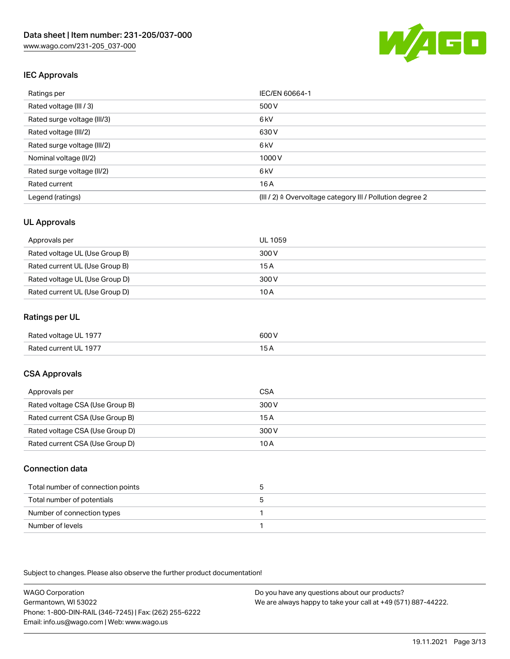

## IEC Approvals

| Ratings per                 | IEC/EN 60664-1                                            |
|-----------------------------|-----------------------------------------------------------|
| Rated voltage (III / 3)     | 500 V                                                     |
| Rated surge voltage (III/3) | 6 <sub>kV</sub>                                           |
| Rated voltage (III/2)       | 630 V                                                     |
| Rated surge voltage (III/2) | 6 <sub>kV</sub>                                           |
| Nominal voltage (II/2)      | 1000 V                                                    |
| Rated surge voltage (II/2)  | 6 <sub>kV</sub>                                           |
| Rated current               | 16A                                                       |
| Legend (ratings)            | (III / 2) ≙ Overvoltage category III / Pollution degree 2 |

## UL Approvals

| Approvals per                  | UL 1059 |
|--------------------------------|---------|
| Rated voltage UL (Use Group B) | 300 V   |
| Rated current UL (Use Group B) | 15 A    |
| Rated voltage UL (Use Group D) | 300 V   |
| Rated current UL (Use Group D) | 10 A    |

## Ratings per UL

| Rated voltage UL 1977 | 600 V |
|-----------------------|-------|
| Rated current UL 1977 |       |

## CSA Approvals

| Approvals per                   | CSA   |
|---------------------------------|-------|
| Rated voltage CSA (Use Group B) | 300 V |
| Rated current CSA (Use Group B) | 15 A  |
| Rated voltage CSA (Use Group D) | 300 V |
| Rated current CSA (Use Group D) | 10 A  |

#### Connection data

| Total number of connection points |  |
|-----------------------------------|--|
| Total number of potentials        |  |
| Number of connection types        |  |
| Number of levels                  |  |

Subject to changes. Please also observe the further product documentation!

WAGO Corporation Germantown, WI 53022 Phone: 1-800-DIN-RAIL (346-7245) | Fax: (262) 255-6222 Email: info.us@wago.com | Web: www.wago.us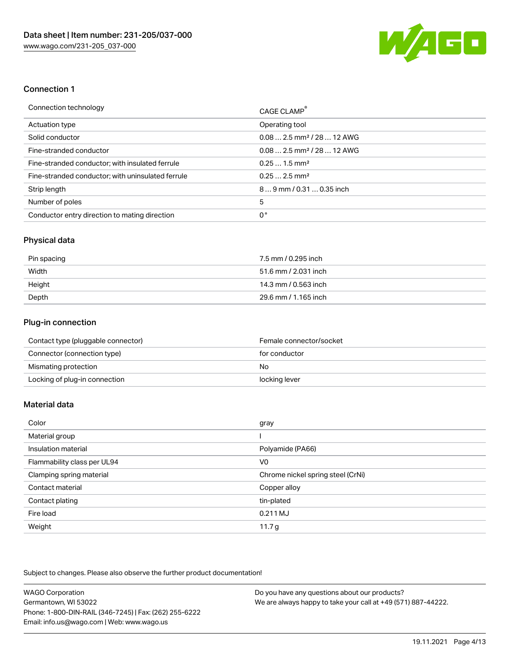

### Connection 1

| Connection technology                             | CAGE CLAMP®                            |
|---------------------------------------------------|----------------------------------------|
| Actuation type                                    | Operating tool                         |
| Solid conductor                                   | $0.082.5$ mm <sup>2</sup> / 28  12 AWG |
| Fine-stranded conductor                           | $0.082.5$ mm <sup>2</sup> / 28  12 AWG |
| Fine-stranded conductor; with insulated ferrule   | $0.251.5$ mm <sup>2</sup>              |
| Fine-stranded conductor; with uninsulated ferrule | $0.252.5$ mm <sup>2</sup>              |
| Strip length                                      | $89$ mm / 0.31  0.35 inch              |
| Number of poles                                   | 5                                      |
| Conductor entry direction to mating direction     | 0°                                     |

#### Physical data

| Pin spacing | 7.5 mm / 0.295 inch  |
|-------------|----------------------|
| Width       | 51.6 mm / 2.031 inch |
| Height      | 14.3 mm / 0.563 inch |
| Depth       | 29.6 mm / 1.165 inch |

# Plug-in connection

| Contact type (pluggable connector) | Female connector/socket |
|------------------------------------|-------------------------|
| Connector (connection type)        | for conductor           |
| Mismating protection               | No                      |
| Locking of plug-in connection      | locking lever           |

# Material data

| Color                       | gray                              |
|-----------------------------|-----------------------------------|
| Material group              |                                   |
| Insulation material         | Polyamide (PA66)                  |
| Flammability class per UL94 | V0                                |
| Clamping spring material    | Chrome nickel spring steel (CrNi) |
| Contact material            | Copper alloy                      |
| Contact plating             | tin-plated                        |
| Fire load                   | 0.211 MJ                          |
| Weight                      | 11.7 <sub>g</sub>                 |

Subject to changes. Please also observe the further product documentation!

| <b>WAGO Corporation</b>                                | Do you have any questions about our products?                 |
|--------------------------------------------------------|---------------------------------------------------------------|
| Germantown, WI 53022                                   | We are always happy to take your call at +49 (571) 887-44222. |
| Phone: 1-800-DIN-RAIL (346-7245)   Fax: (262) 255-6222 |                                                               |
| Email: info.us@wago.com   Web: www.wago.us             |                                                               |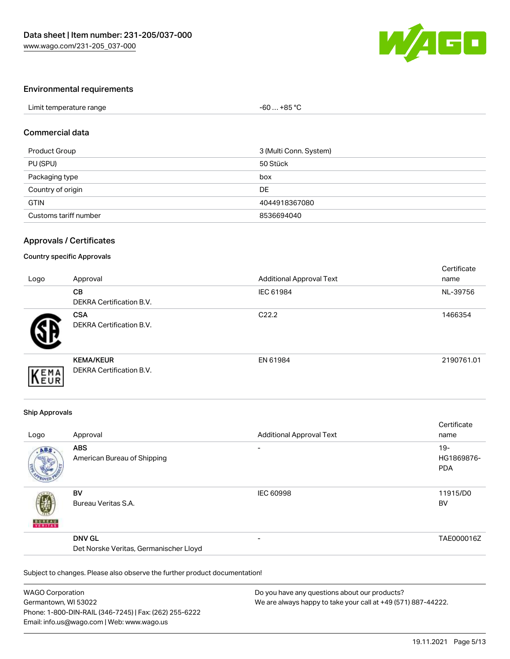

#### Environmental requirements

| Limit temperature range | +85 °C<br>-60 |  |
|-------------------------|---------------|--|

#### Commercial data

| Product Group         | 3 (Multi Conn. System) |
|-----------------------|------------------------|
| PU (SPU)              | 50 Stück               |
| Packaging type        | box                    |
| Country of origin     | DE                     |
| <b>GTIN</b>           | 4044918367080          |
| Customs tariff number | 8536694040             |

#### Approvals / Certificates

## Country specific Approvals

| Logo | Approval                                            | <b>Additional Approval Text</b> | Certificate<br>name |
|------|-----------------------------------------------------|---------------------------------|---------------------|
|      | <b>CB</b><br>DEKRA Certification B.V.               | IEC 61984                       | NL-39756            |
|      | <b>CSA</b><br>DEKRA Certification B.V.              | C <sub>22.2</sub>               | 1466354             |
| EMA  | <b>KEMA/KEUR</b><br><b>DEKRA Certification B.V.</b> | EN 61984                        | 2190761.01          |

#### Ship Approvals

| Logo          | Approval                                                | <b>Additional Approval Text</b> | Certificate<br>name                |
|---------------|---------------------------------------------------------|---------------------------------|------------------------------------|
| ABS           | <b>ABS</b><br>American Bureau of Shipping               | $\overline{\phantom{a}}$        | $19 -$<br>HG1869876-<br><b>PDA</b> |
| <b>BUNEAU</b> | <b>BV</b><br>Bureau Veritas S.A.                        | <b>IEC 60998</b>                | 11915/D0<br><b>BV</b>              |
|               | <b>DNV GL</b><br>Det Norske Veritas, Germanischer Lloyd | $\overline{\phantom{0}}$        | TAE000016Z                         |

Subject to changes. Please also observe the further product documentation!

| <b>WAGO Corporation</b>                                | Do you have any questions about our products?                 |
|--------------------------------------------------------|---------------------------------------------------------------|
| Germantown, WI 53022                                   | We are always happy to take your call at +49 (571) 887-44222. |
| Phone: 1-800-DIN-RAIL (346-7245)   Fax: (262) 255-6222 |                                                               |
| Email: info.us@wago.com   Web: www.wago.us             |                                                               |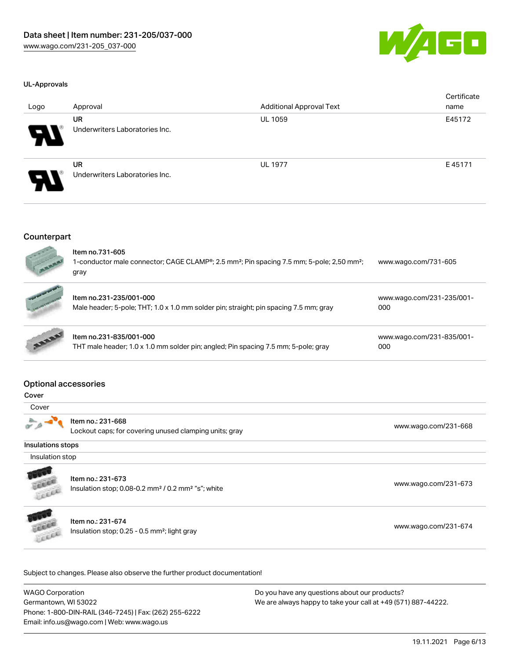

#### UL-Approvals

| Logo                  | Approval                                    | <b>Additional Approval Text</b> | Certificate<br>name |
|-----------------------|---------------------------------------------|---------------------------------|---------------------|
| Р.                    | <b>UR</b><br>Underwriters Laboratories Inc. | UL 1059                         | E45172              |
| $\boldsymbol{\theta}$ | <b>UR</b><br>Underwriters Laboratories Inc. | <b>UL 1977</b>                  | E45171              |

#### **Counterpart**

| $e^{\frac{1}{2}x}$<br><b>CONTRACTOR</b> | Item no.731-605<br>1-conductor male connector; CAGE CLAMP <sup>®</sup> ; 2.5 mm <sup>2</sup> ; Pin spacing 7.5 mm; 5-pole; 2,50 mm <sup>2</sup> ;<br>gray | www.wago.com/731-605             |
|-----------------------------------------|-----------------------------------------------------------------------------------------------------------------------------------------------------------|----------------------------------|
| of the Reset of the Con-                | Item no.231-235/001-000<br>Male header; 5-pole; THT; 1.0 x 1.0 mm solder pin; straight; pin spacing 7.5 mm; gray                                          | www.wago.com/231-235/001-<br>000 |
| <b>ANALUS</b>                           | Item no.231-835/001-000<br>THT male header; 1.0 x 1.0 mm solder pin; angled; Pin spacing 7.5 mm; 5-pole; gray                                             | www.wago.com/231-835/001-<br>000 |

#### Optional accessories

| ×<br>۹<br>M.<br>v<br>×<br>۰. |
|------------------------------|
|------------------------------|



Item no.: 231-668

Lockout caps; for covering unused clamping units; gray [www.wago.com/231-668](http://www.wago.com/231-668)

Insulations stops

Insulation stop



Item no.: 231-673

Insulation stop; 0.08-0.2 mm<sup>2</sup> / 0.2 mm<sup>2</sup> "s"; white [www.wago.com/231-673](http://www.wago.com/231-673) www.wago.com/231-673



Item no.: 231-674 Insulation stop; 0.25 - 0.5 mm²; light gray [www.wago.com/231-674](http://www.wago.com/231-674)

Subject to changes. Please also observe the further product documentation!

WAGO Corporation Germantown, WI 53022 Phone: 1-800-DIN-RAIL (346-7245) | Fax: (262) 255-6222 Email: info.us@wago.com | Web: www.wago.us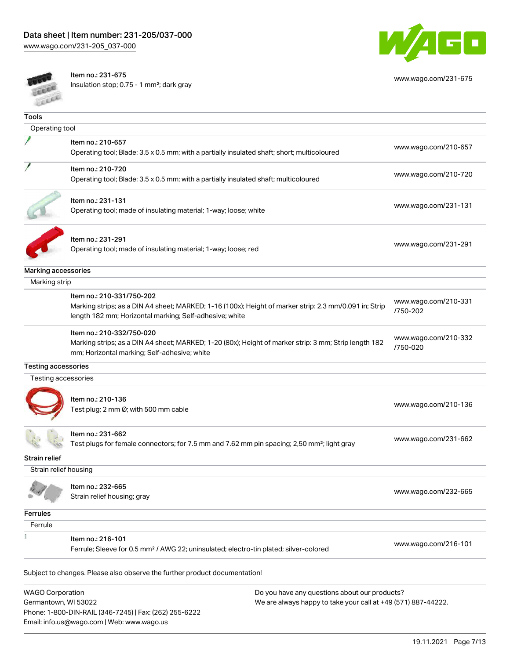

[www.wago.com/231-675](http://www.wago.com/231-675)



Item no.: 231-675

Email: info.us@wago.com | Web: www.wago.us

Insulation stop; 0.75 - 1 mm²; dark gray

| <b>Tools</b>            |                                                                                                        |                                                               |                                  |
|-------------------------|--------------------------------------------------------------------------------------------------------|---------------------------------------------------------------|----------------------------------|
| Operating tool          |                                                                                                        |                                                               |                                  |
|                         | Item no.: 210-657                                                                                      |                                                               |                                  |
|                         | Operating tool; Blade: 3.5 x 0.5 mm; with a partially insulated shaft; short; multicoloured            |                                                               | www.wago.com/210-657             |
|                         | Item no.: 210-720                                                                                      |                                                               |                                  |
|                         | Operating tool; Blade: 3.5 x 0.5 mm; with a partially insulated shaft; multicoloured                   |                                                               | www.wago.com/210-720             |
|                         |                                                                                                        |                                                               |                                  |
|                         | Item no.: 231-131                                                                                      |                                                               |                                  |
|                         | Operating tool; made of insulating material; 1-way; loose; white                                       |                                                               | www.wago.com/231-131             |
|                         |                                                                                                        |                                                               |                                  |
|                         | Item no.: 231-291                                                                                      |                                                               |                                  |
|                         | Operating tool; made of insulating material; 1-way; loose; red                                         |                                                               | www.wago.com/231-291             |
|                         |                                                                                                        |                                                               |                                  |
| Marking accessories     |                                                                                                        |                                                               |                                  |
| Marking strip           |                                                                                                        |                                                               |                                  |
|                         | Item no.: 210-331/750-202                                                                              |                                                               | www.wago.com/210-331             |
|                         | Marking strips; as a DIN A4 sheet; MARKED; 1-16 (100x); Height of marker strip: 2.3 mm/0.091 in; Strip |                                                               | /750-202                         |
|                         | length 182 mm; Horizontal marking; Self-adhesive; white                                                |                                                               |                                  |
|                         | Item no.: 210-332/750-020                                                                              |                                                               |                                  |
|                         | Marking strips; as a DIN A4 sheet; MARKED; 1-20 (80x); Height of marker strip: 3 mm; Strip length 182  |                                                               | www.wago.com/210-332<br>/750-020 |
|                         | mm; Horizontal marking; Self-adhesive; white                                                           |                                                               |                                  |
| Testing accessories     |                                                                                                        |                                                               |                                  |
| Testing accessories     |                                                                                                        |                                                               |                                  |
|                         |                                                                                                        |                                                               |                                  |
|                         | Item no.: 210-136                                                                                      |                                                               | www.wago.com/210-136             |
|                         | Test plug; 2 mm Ø; with 500 mm cable                                                                   |                                                               |                                  |
|                         | Item no.: 231-662                                                                                      |                                                               |                                  |
|                         | Test plugs for female connectors; for 7.5 mm and 7.62 mm pin spacing; 2,50 mm²; light gray             |                                                               | www.wago.com/231-662             |
| Strain relief           |                                                                                                        |                                                               |                                  |
| Strain relief housing   |                                                                                                        |                                                               |                                  |
|                         |                                                                                                        |                                                               |                                  |
|                         | Item no.: 232-665                                                                                      |                                                               | www.wago.com/232-665             |
|                         | Strain relief housing; gray                                                                            |                                                               |                                  |
| <b>Ferrules</b>         |                                                                                                        |                                                               |                                  |
| Ferrule                 |                                                                                                        |                                                               |                                  |
|                         | Item no.: 216-101                                                                                      |                                                               |                                  |
|                         | Ferrule; Sleeve for 0.5 mm <sup>2</sup> / AWG 22; uninsulated; electro-tin plated; silver-colored      |                                                               | www.wago.com/216-101             |
|                         |                                                                                                        |                                                               |                                  |
|                         | Subject to changes. Please also observe the further product documentation!                             |                                                               |                                  |
| <b>WAGO Corporation</b> |                                                                                                        | Do you have any questions about our products?                 |                                  |
| Germantown, WI 53022    |                                                                                                        | We are always happy to take your call at +49 (571) 887-44222. |                                  |
|                         | Phone: 1-800-DIN-RAIL (346-7245)   Fax: (262) 255-6222                                                 |                                                               |                                  |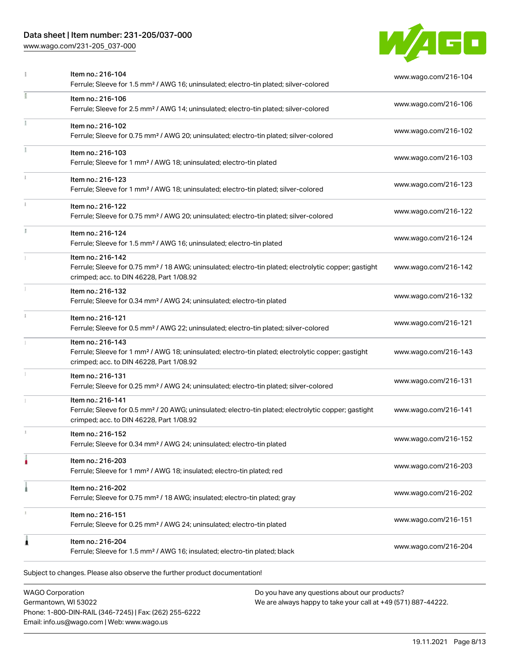# Data sheet | Item number: 231-205/037-000

[www.wago.com/231-205\\_037-000](http://www.wago.com/231-205_037-000)



| ı            | Ferrule; Sleeve for 1.5 mm <sup>2</sup> / AWG 16; uninsulated; electro-tin plated; silver-colored<br>Item no.: 216-106                                                             | www.wago.com/216-106 |
|--------------|------------------------------------------------------------------------------------------------------------------------------------------------------------------------------------|----------------------|
|              | Ferrule; Sleeve for 2.5 mm <sup>2</sup> / AWG 14; uninsulated; electro-tin plated; silver-colored                                                                                  |                      |
|              | Item no.: 216-102<br>Ferrule; Sleeve for 0.75 mm <sup>2</sup> / AWG 20; uninsulated; electro-tin plated; silver-colored                                                            | www.wago.com/216-102 |
|              | Item no.: 216-103<br>Ferrule; Sleeve for 1 mm <sup>2</sup> / AWG 18; uninsulated; electro-tin plated                                                                               | www.wago.com/216-103 |
|              | Item no.: 216-123<br>Ferrule; Sleeve for 1 mm <sup>2</sup> / AWG 18; uninsulated; electro-tin plated; silver-colored                                                               | www.wago.com/216-123 |
|              | Item no.: 216-122<br>Ferrule; Sleeve for 0.75 mm <sup>2</sup> / AWG 20; uninsulated; electro-tin plated; silver-colored                                                            | www.wago.com/216-122 |
| ă.           | Item no.: 216-124<br>Ferrule; Sleeve for 1.5 mm <sup>2</sup> / AWG 16; uninsulated; electro-tin plated                                                                             | www.wago.com/216-124 |
|              | Item no.: 216-142<br>Ferrule; Sleeve for 0.75 mm <sup>2</sup> / 18 AWG; uninsulated; electro-tin plated; electrolytic copper; gastight<br>crimped; acc. to DIN 46228, Part 1/08.92 | www.wago.com/216-142 |
|              | Item no.: 216-132<br>Ferrule; Sleeve for 0.34 mm <sup>2</sup> / AWG 24; uninsulated; electro-tin plated                                                                            | www.wago.com/216-132 |
| $\mathbf{i}$ | Item no.: 216-121<br>Ferrule; Sleeve for 0.5 mm <sup>2</sup> / AWG 22; uninsulated; electro-tin plated; silver-colored                                                             | www.wago.com/216-121 |
|              | Item no.: 216-143<br>Ferrule; Sleeve for 1 mm <sup>2</sup> / AWG 18; uninsulated; electro-tin plated; electrolytic copper; gastight<br>crimped; acc. to DIN 46228, Part 1/08.92    | www.wago.com/216-143 |
|              | Item no.: 216-131<br>Ferrule; Sleeve for 0.25 mm <sup>2</sup> / AWG 24; uninsulated; electro-tin plated; silver-colored                                                            | www.wago.com/216-131 |
| I.           | Item no.: 216-141<br>Ferrule; Sleeve for 0.5 mm <sup>2</sup> / 20 AWG; uninsulated; electro-tin plated; electrolytic copper; gastight<br>crimped; acc. to DIN 46228, Part 1/08.92  | www.wago.com/216-141 |
|              | Item no.: 216-152<br>Ferrule; Sleeve for 0.34 mm <sup>2</sup> / AWG 24; uninsulated; electro-tin plated                                                                            | www.wago.com/216-152 |
|              | Item no.: 216-203<br>Ferrule; Sleeve for 1 mm <sup>2</sup> / AWG 18; insulated; electro-tin plated; red                                                                            | www.wago.com/216-203 |
|              | Item no.: 216-202<br>Ferrule; Sleeve for 0.75 mm <sup>2</sup> / 18 AWG; insulated; electro-tin plated; gray                                                                        | www.wago.com/216-202 |
|              | Item no.: 216-151<br>Ferrule; Sleeve for 0.25 mm <sup>2</sup> / AWG 24; uninsulated; electro-tin plated                                                                            | www.wago.com/216-151 |
| 1            | Item no.: 216-204<br>Ferrule; Sleeve for 1.5 mm <sup>2</sup> / AWG 16; insulated; electro-tin plated; black                                                                        | www.wago.com/216-204 |
|              | Subject to changes. Please also observe the further product documentation!                                                                                                         |                      |
|              | WAGO Corporation<br>Do you have any questions about our products?                                                                                                                  |                      |

WAGO Corporation Germantown, WI 53022 Phone: 1-800-DIN-RAIL (346-7245) | Fax: (262) 255-6222 Email: info.us@wago.com | Web: www.wago.us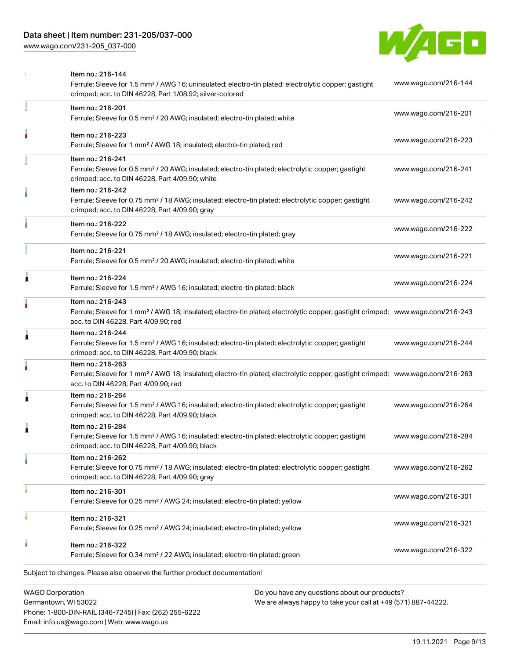## Data sheet | Item number: 231-205/037-000

[www.wago.com/231-205\\_037-000](http://www.wago.com/231-205_037-000)



|   | <b>WAGO Corporation</b><br>Do you have any questions about our products?                                                                                                                                |                      |
|---|---------------------------------------------------------------------------------------------------------------------------------------------------------------------------------------------------------|----------------------|
|   | Subject to changes. Please also observe the further product documentation!                                                                                                                              |                      |
|   | Item no.: 216-322<br>Ferrule; Sleeve for 0.34 mm <sup>2</sup> / 22 AWG; insulated; electro-tin plated; green                                                                                            | www.wago.com/216-322 |
|   | Item no.: 216-321<br>Ferrule; Sleeve for 0.25 mm <sup>2</sup> / AWG 24; insulated; electro-tin plated; yellow                                                                                           | www.wago.com/216-321 |
|   | Item no.: 216-301<br>Ferrule; Sleeve for 0.25 mm <sup>2</sup> / AWG 24; insulated; electro-tin plated; yellow                                                                                           | www.wago.com/216-301 |
|   | Item no.: 216-262<br>Ferrule; Sleeve for 0.75 mm <sup>2</sup> / 18 AWG; insulated; electro-tin plated; electrolytic copper; gastight<br>crimped; acc. to DIN 46228, Part 4/09.90; gray                  | www.wago.com/216-262 |
|   | Item no.: 216-284<br>Ferrule; Sleeve for 1.5 mm <sup>2</sup> / AWG 16; insulated; electro-tin plated; electrolytic copper; gastight<br>crimped; acc. to DIN 46228, Part 4/09.90; black                  | www.wago.com/216-284 |
|   | Item no.: 216-264<br>Ferrule; Sleeve for 1.5 mm <sup>2</sup> / AWG 16; insulated; electro-tin plated; electrolytic copper; gastight<br>crimped; acc. to DIN 46228, Part 4/09.90; black                  | www.wago.com/216-264 |
|   | Item no.: 216-263<br>Ferrule; Sleeve for 1 mm <sup>2</sup> / AWG 18; insulated; electro-tin plated; electrolytic copper; gastight crimped; www.wago.com/216-263<br>acc. to DIN 46228, Part 4/09.90; red |                      |
| £ | Item no.: 216-244<br>Ferrule; Sleeve for 1.5 mm <sup>2</sup> / AWG 16; insulated; electro-tin plated; electrolytic copper; gastight<br>crimped; acc. to DIN 46228, Part 4/09.90; black                  | www.wago.com/216-244 |
|   | Item no.: 216-243<br>Ferrule; Sleeve for 1 mm <sup>2</sup> / AWG 18; insulated; electro-tin plated; electrolytic copper; gastight crimped; www.wago.com/216-243<br>acc. to DIN 46228, Part 4/09.90; red |                      |
| 1 | Item no.: 216-224<br>Ferrule; Sleeve for 1.5 mm <sup>2</sup> / AWG 16; insulated; electro-tin plated; black                                                                                             | www.wago.com/216-224 |
|   | Item no.: 216-221<br>Ferrule; Sleeve for 0.5 mm <sup>2</sup> / 20 AWG; insulated; electro-tin plated; white                                                                                             | www.wago.com/216-221 |
|   | Item no.: 216-222<br>Ferrule; Sleeve for 0.75 mm <sup>2</sup> / 18 AWG; insulated; electro-tin plated; gray                                                                                             | www.wago.com/216-222 |
|   | Item no.: 216-242<br>Ferrule; Sleeve for 0.75 mm <sup>2</sup> / 18 AWG; insulated; electro-tin plated; electrolytic copper; gastight<br>crimped; acc. to DIN 46228, Part 4/09.90; gray                  | www.wago.com/216-242 |
|   | Item no.: 216-241<br>Ferrule; Sleeve for 0.5 mm <sup>2</sup> / 20 AWG; insulated; electro-tin plated; electrolytic copper; gastight<br>crimped; acc. to DIN 46228, Part 4/09.90; white                  | www.wago.com/216-241 |
|   | Item no.: 216-223<br>Ferrule; Sleeve for 1 mm <sup>2</sup> / AWG 18; insulated; electro-tin plated; red                                                                                                 | www.wago.com/216-223 |
|   | Item no.: 216-201<br>Ferrule; Sleeve for 0.5 mm <sup>2</sup> / 20 AWG; insulated; electro-tin plated; white                                                                                             | www.wago.com/216-201 |
|   | Item no.: 216-144<br>Ferrule; Sleeve for 1.5 mm <sup>2</sup> / AWG 16; uninsulated; electro-tin plated; electrolytic copper; gastight<br>crimped; acc. to DIN 46228, Part 1/08.92; silver-colored       | www.wago.com/216-144 |

Germantown, WI 53022 Phone: 1-800-DIN-RAIL (346-7245) | Fax: (262) 255-6222 Email: info.us@wago.com | Web: www.wago.us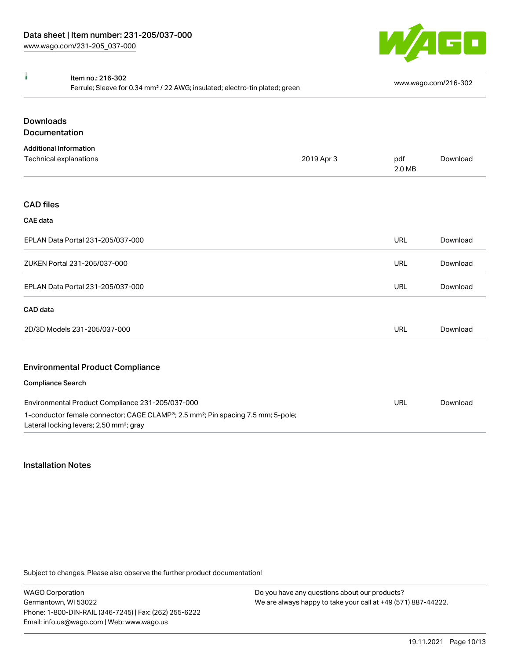

| ł                | Item no.: 216-302<br>Ferrule; Sleeve for 0.34 mm <sup>2</sup> / 22 AWG; insulated; electro-tin plated; green                                        |            |               | www.wago.com/216-302 |  |
|------------------|-----------------------------------------------------------------------------------------------------------------------------------------------------|------------|---------------|----------------------|--|
| <b>Downloads</b> |                                                                                                                                                     |            |               |                      |  |
| Documentation    |                                                                                                                                                     |            |               |                      |  |
|                  | <b>Additional Information</b>                                                                                                                       |            |               |                      |  |
|                  | Technical explanations                                                                                                                              | 2019 Apr 3 | pdf<br>2.0 MB | Download             |  |
| <b>CAD files</b> |                                                                                                                                                     |            |               |                      |  |
| <b>CAE</b> data  |                                                                                                                                                     |            |               |                      |  |
|                  | EPLAN Data Portal 231-205/037-000                                                                                                                   |            | <b>URL</b>    | Download             |  |
|                  | ZUKEN Portal 231-205/037-000                                                                                                                        |            | <b>URL</b>    | Download             |  |
|                  | EPLAN Data Portal 231-205/037-000                                                                                                                   |            | <b>URL</b>    | Download             |  |
| CAD data         |                                                                                                                                                     |            |               |                      |  |
|                  | 2D/3D Models 231-205/037-000                                                                                                                        |            | <b>URL</b>    | Download             |  |
|                  | <b>Environmental Product Compliance</b>                                                                                                             |            |               |                      |  |
|                  | <b>Compliance Search</b>                                                                                                                            |            |               |                      |  |
|                  | Environmental Product Compliance 231-205/037-000                                                                                                    |            | <b>URL</b>    | Download             |  |
|                  | 1-conductor female connector; CAGE CLAMP®; 2.5 mm <sup>2</sup> ; Pin spacing 7.5 mm; 5-pole;<br>Lateral locking levers; 2,50 mm <sup>2</sup> ; gray |            |               |                      |  |

#### Installation Notes

Subject to changes. Please also observe the further product documentation!

WAGO Corporation Germantown, WI 53022 Phone: 1-800-DIN-RAIL (346-7245) | Fax: (262) 255-6222 Email: info.us@wago.com | Web: www.wago.us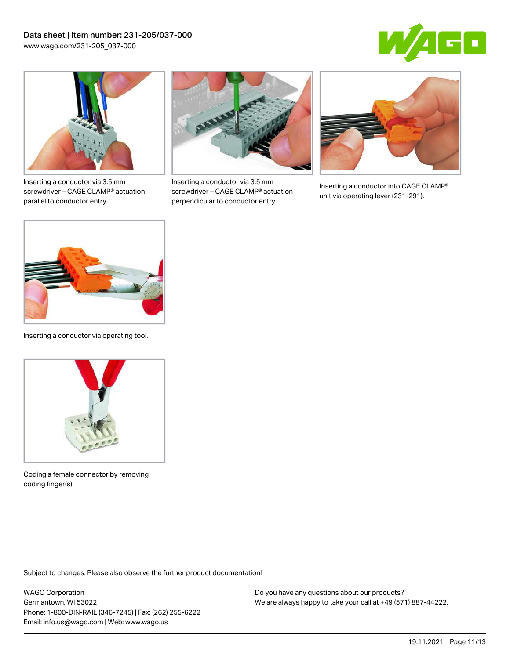



Inserting a conductor via 3.5 mm screwdriver – CAGE CLAMP® actuation parallel to conductor entry.



Inserting a conductor via 3.5 mm screwdriver – CAGE CLAMP® actuation perpendicular to conductor entry.



Inserting a conductor into CAGE CLAMP® unit via operating lever (231-291).



Inserting a conductor via operating tool.



Coding a female connector by removing coding finger(s).

Subject to changes. Please also observe the further product documentation!

WAGO Corporation Germantown, WI 53022 Phone: 1-800-DIN-RAIL (346-7245) | Fax: (262) 255-6222 Email: info.us@wago.com | Web: www.wago.us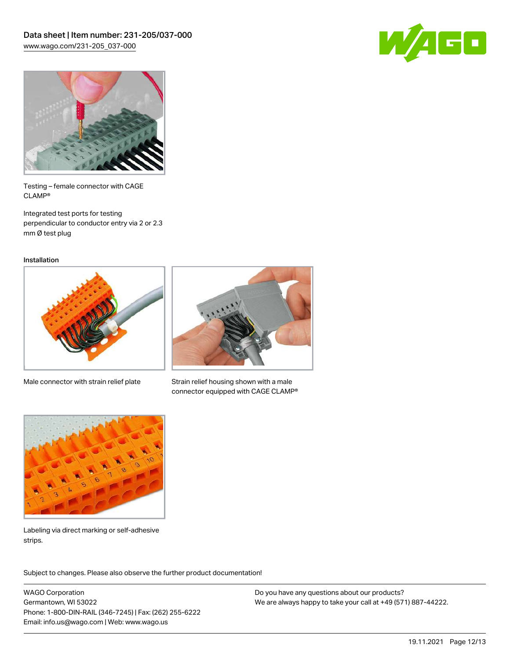



Testing – female connector with CAGE CLAMP®

Integrated test ports for testing perpendicular to conductor entry via 2 or 2.3 mm Ø test plug

Installation



Male connector with strain relief plate



Strain relief housing shown with a male connector equipped with CAGE CLAMP®



Labeling via direct marking or self-adhesive strips.

Subject to changes. Please also observe the further product documentation! Product family

WAGO Corporation Germantown, WI 53022 Phone: 1-800-DIN-RAIL (346-7245) | Fax: (262) 255-6222 Email: info.us@wago.com | Web: www.wago.us